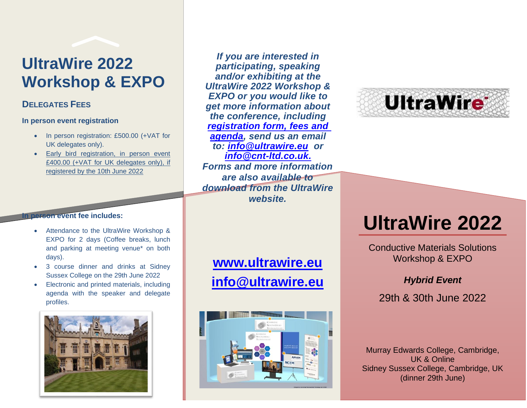# **UltraWire 2022 Workshop & EXPO**

## **DELEGATES FEES**

#### **In person event registration**

- In person registration: £500.00 (+VAT for UK delegates only).
- Early bird registration, in person event £400.00 (+VAT for UK delegates only), if registered by the 10th June 2022

#### **In person event fee includes:**

- Attendance to the UltraWire Workshop & EXPO for 2 days (Coffee breaks, lunch and parking at meeting venue\* on both days).
- 3 course dinner and drinks at Sidney Sussex College on the 29th June 2022
- Electronic and printed materials, including agenda with the speaker and delegate profiles.



*If you are interested in participating, speaking and/or exhibiting at the UltraWire 2022 Workshop & EXPO or you would like to get more information about the conference, including [registration form, fees and](http://www.ultrawire.eu/workshops)  [agenda,](http://www.ultrawire.eu/workshops) send us an email to: [info@ultrawire.eu](mailto:info@ultrawire.eu) or [info@cnt-ltd.co.uk.](mailto:info@cnt-ltd.co.uk) Forms and more information are also available to download from the UltraWire website.*

## **[www.ultrawire.eu](http://www.ultrawire.eu/) [info@ultrawire.eu](mailto:info@ultrawire.eu)**





# **UltraWire 2022**

Conductive Materials Solutions Workshop & EXPO

## *Hybrid Event*

29th & 30th June 2022

Murray Edwards College, Cambridge, UK & Online Sidney Sussex College, Cambridge, UK (dinner 29th June)